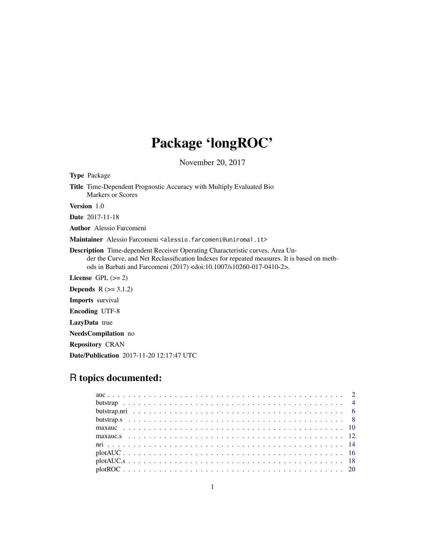# Package 'longROC'

November 20, 2017

| <b>Type</b> Package                                                                                                                                                                                                                                                          |  |  |  |  |  |
|------------------------------------------------------------------------------------------------------------------------------------------------------------------------------------------------------------------------------------------------------------------------------|--|--|--|--|--|
| <b>Title</b> Time-Dependent Prognostic Accuracy with Multiply Evaluated Bio<br>Markers or Scores                                                                                                                                                                             |  |  |  |  |  |
| <b>Version</b> 1.0                                                                                                                                                                                                                                                           |  |  |  |  |  |
| <b>Date</b> 2017-11-18                                                                                                                                                                                                                                                       |  |  |  |  |  |
| <b>Author</b> Alessio Farcomeni                                                                                                                                                                                                                                              |  |  |  |  |  |
| Maintainer Alessio Farcomeni <alessio.farcomeni@uniroma1.it></alessio.farcomeni@uniroma1.it>                                                                                                                                                                                 |  |  |  |  |  |
| <b>Description</b> Time-dependent Receiver Operating Characteristic curves, Area Un-<br>der the Curve, and Net Reclassification Indexes for repeated measures. It is based on meth-<br>ods in Barbati and Farcomeni (2017) <doi:10.1007 s10260-017-0410-2="">.</doi:10.1007> |  |  |  |  |  |
| License $GPL (= 2)$                                                                                                                                                                                                                                                          |  |  |  |  |  |
| <b>Depends</b> $R (= 3.1.2)$                                                                                                                                                                                                                                                 |  |  |  |  |  |
| <b>Imports</b> survival                                                                                                                                                                                                                                                      |  |  |  |  |  |
| <b>Encoding UTF-8</b>                                                                                                                                                                                                                                                        |  |  |  |  |  |
| <b>LazyData</b> true                                                                                                                                                                                                                                                         |  |  |  |  |  |
| <b>NeedsCompilation</b> no                                                                                                                                                                                                                                                   |  |  |  |  |  |
| <b>Repository CRAN</b>                                                                                                                                                                                                                                                       |  |  |  |  |  |

# R topics documented:

Date/Publication 2017-11-20 12:17:47 UTC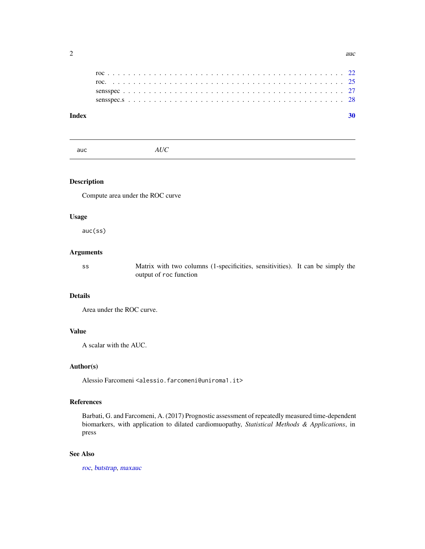<span id="page-1-0"></span>

| Index |  |  |  |  |  |  |  |  |  |  |  |  |  |  |  |  |  |  |  |  |  |
|-------|--|--|--|--|--|--|--|--|--|--|--|--|--|--|--|--|--|--|--|--|--|
|       |  |  |  |  |  |  |  |  |  |  |  |  |  |  |  |  |  |  |  |  |  |
|       |  |  |  |  |  |  |  |  |  |  |  |  |  |  |  |  |  |  |  |  |  |
|       |  |  |  |  |  |  |  |  |  |  |  |  |  |  |  |  |  |  |  |  |  |
|       |  |  |  |  |  |  |  |  |  |  |  |  |  |  |  |  |  |  |  |  |  |
|       |  |  |  |  |  |  |  |  |  |  |  |  |  |  |  |  |  |  |  |  |  |

<span id="page-1-1"></span>auc *AUC*

# Description

Compute area under the ROC curve

# Usage

auc(ss)

# Arguments

ss Matrix with two columns (1-specificities, sensitivities). It can be simply the output of roc function

# Details

Area under the ROC curve.

#### Value

A scalar with the AUC.

#### Author(s)

Alessio Farcomeni <alessio.farcomeni@uniroma1.it>

# References

Barbati, G. and Farcomeni, A. (2017) Prognostic assessment of repeatedly measured time-dependent biomarkers, with application to dilated cardiomuopathy, *Statistical Methods & Applications*, in press

### See Also

[roc](#page-21-1), [butstrap](#page-3-1), [maxauc](#page-9-1)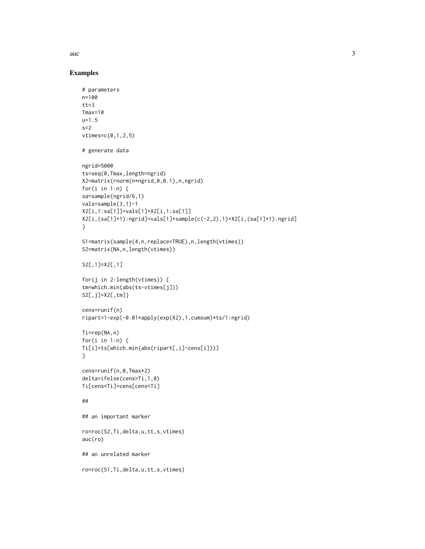$\alpha$  3

```
# parameters
n=100
tt=3Tmax=10
u=1.5
s=2vtimes=c(0,1,2,5)
# generate data
ngrid=5000
ts=seq(0,Tmax,length=ngrid)
X2=matrix(rnorm(n*ngrid,0,0.1),n,ngrid)
for(i in 1:n) \{sa=sample(ngrid/6,1)
vals=sample(3,1)-1
X2[i,1:sa[1]]=vals[1]+X2[i,1:sa[1]]
X2[i,(sa[1]+1):ngrid]=vals[1]+sample(c(-2,2),1)+X2[i,(sa[1]+1):ngrid]
}
S1=matrix(sample(4,n,replace=TRUE),n,length(vtimes))
S2=matrix(NA,n,length(vtimes))
S2[,1]=X2[,1]
for(j in 2:length(vtimes)) {
tm=which.min(abs(ts-vtimes[j]))
S2[,j]=X2[,tm]}
cens=runif(n)
ripart=1-exp(-0.01*apply(exp(X2),1,cumsum)*ts/1:ngrid)
Ti=rep(NA,n)
for(i in 1:n) {
Ti[i]=ts[which.min(abs(ripart[,i]-cens[i]))]
}
cens=runif(n,0,Tmax*2)
delta=ifelse(cens>Ti,1,0)
Ti[cens<Ti]=cens[cens<Ti]
##
## an important marker
ro=roc(S2,Ti,delta,u,tt,s,vtimes)
auc(ro)
## an unrelated marker
ro=roc(S1,Ti,delta,u,tt,s,vtimes)
```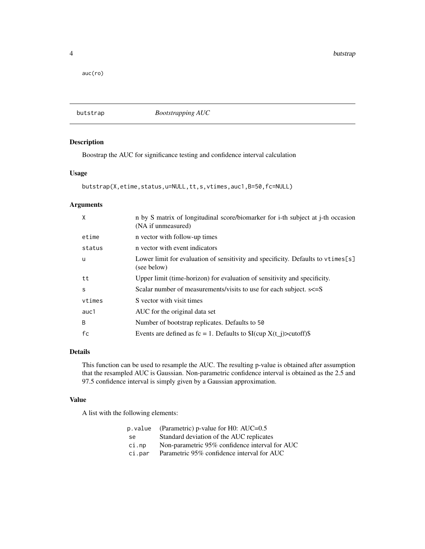<span id="page-3-0"></span>auc(ro)

<span id="page-3-1"></span>butstrap *Bootstrapping AUC*

#### Description

Boostrap the AUC for significance testing and confidence interval calculation

#### Usage

```
butstrap(X,etime,status,u=NULL,tt,s,vtimes,auc1,B=50,fc=NULL)
```
#### Arguments

| X        | n by S matrix of longitudinal score/biomarker for i-th subject at j-th occasion<br>(NA if unmeasured) |
|----------|-------------------------------------------------------------------------------------------------------|
| etime    | n vector with follow-up times                                                                         |
| status   | n vector with event indicators                                                                        |
| <b>u</b> | Lower limit for evaluation of sensitivity and specificity. Defaults to vtimes [s]<br>(see below)      |
| tt       | Upper limit (time-horizon) for evaluation of sensitivity and specificity.                             |
| S        | Scalar number of measurements/visits to use for each subject. s<=S                                    |
| vtimes   | S vector with visit times                                                                             |
| auc1     | AUC for the original data set                                                                         |
| B        | Number of bootstrap replicates. Defaults to 50                                                        |
| fc       | Events are defined as $fc = 1$ . Defaults to $I(cup X(t_i)) > cut off$                                |

### Details

This function can be used to resample the AUC. The resulting p-value is obtained after assumption that the resampled AUC is Gaussian. Non-parametric confidence interval is obtained as the 2.5 and 97.5 confidence interval is simply given by a Gaussian approximation.

# Value

A list with the following elements:

| p.value | (Parametric) p-value for H0: AUC=0.5           |
|---------|------------------------------------------------|
| se.     | Standard deviation of the AUC replicates       |
| ci.np   | Non-parametric 95% confidence interval for AUC |
| ci.par  | Parametric 95% confidence interval for AUC     |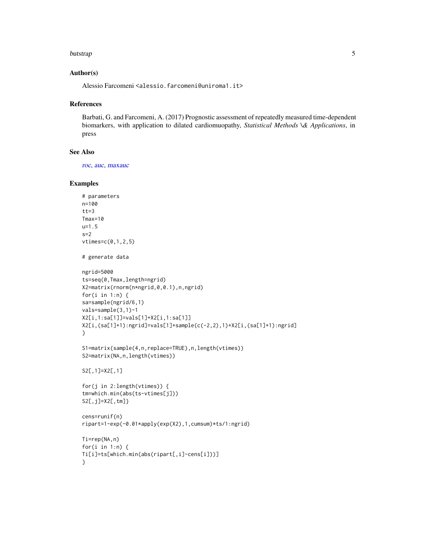#### <span id="page-4-0"></span>butstrap 50 to 30 million to 20 million to 20 million to 20 million to 20 million to 20 million to 20 million

#### Author(s)

Alessio Farcomeni <alessio.farcomeni@uniroma1.it>

#### References

Barbati, G. and Farcomeni, A. (2017) Prognostic assessment of repeatedly measured time-dependent biomarkers, with application to dilated cardiomuopathy, *Statistical Methods \& Applications*, in press

# See Also

[roc](#page-21-1), [auc](#page-1-1), [maxauc](#page-9-1)

```
# parameters
n=100
tt=3Tmax=10
u=1.5
s=2vtimes=c(0,1,2,5)
# generate data
ngrid=5000
ts=seq(0,Tmax,length=ngrid)
X2=matrix(rnorm(n*ngrid,0,0.1),n,ngrid)
for(i in 1:n) \{sa=sample(ngrid/6,1)
vals=sample(3,1)-1
X2[i,1:sa[1]]=vals[1]+X2[i,1:sa[1]]
X2[i,(sa[1]+1):ngrid]=vals[1]+sample(c(-2,2),1)+X2[i,(sa[1]+1):ngrid]
}
S1=matrix(sample(4,n,replace=TRUE),n,length(vtimes))
S2=matrix(NA,n,length(vtimes))
S2[,1]=X2[,1]
for(j in 2:length(vtimes)) {
tm=which.min(abs(ts-vtimes[j]))
S2[,j]=X2[,tm]}
cens=runif(n)
ripart=1-exp(-0.01*apply(exp(X2),1,cumsum)*ts/1:ngrid)
Ti=rep(NA,n)
for(i in 1:n) {
Ti[i]=ts[which.min(abs(ripart[,i]-cens[i]))]
}
```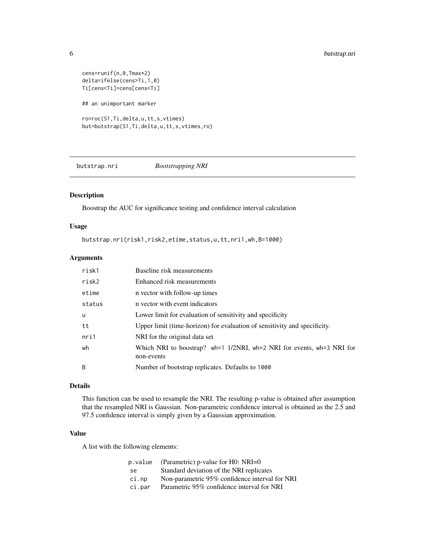```
cens=runif(n,0,Tmax*2)
delta=ifelse(cens>Ti,1,0)
Ti[cens<Ti]=cens[cens<Ti]
## an unimportant marker
ro=roc(S1,Ti,delta,u,tt,s,vtimes)
but=butstrap(S1,Ti,delta,u,tt,s,vtimes,ro)
```
<span id="page-5-1"></span>butstrap.nri *Bootstrapping NRI*

# Description

Boostrap the AUC for significance testing and confidence interval calculation

# Usage

butstrap.nri(risk1,risk2,etime,status,u,tt,nri1,wh,B=1000)

#### Arguments

| risk1    | Baseline risk measurements                                                          |
|----------|-------------------------------------------------------------------------------------|
| risk2    | Enhanced risk measurements                                                          |
| etime    | n vector with follow-up times                                                       |
| status   | n vector with event indicators                                                      |
| <b>u</b> | Lower limit for evaluation of sensitivity and specificity                           |
| tt       | Upper limit (time-horizon) for evaluation of sensitivity and specificity.           |
| nri1     | NRI for the original data set                                                       |
| wh       | Which NRI to boostrap? wh=1 1/2NRI, wh=2 NRI for events, wh=3 NRI for<br>non-events |
| B        | Number of bootstrap replicates. Defaults to 1000                                    |

# Details

This function can be used to resample the NRI. The resulting p-value is obtained after assumption that the resampled NRI is Gaussian. Non-parametric confidence interval is obtained as the 2.5 and 97.5 confidence interval is simply given by a Gaussian approximation.

#### Value

A list with the following elements:

| p.value | (Parametric) p-value for H0: $NRI=0$           |
|---------|------------------------------------------------|
| se.     | Standard deviation of the NRI replicates       |
| ci.np   | Non-parametric 95% confidence interval for NRI |
| ci.par  | Parametric 95% confidence interval for NRI     |

<span id="page-5-0"></span>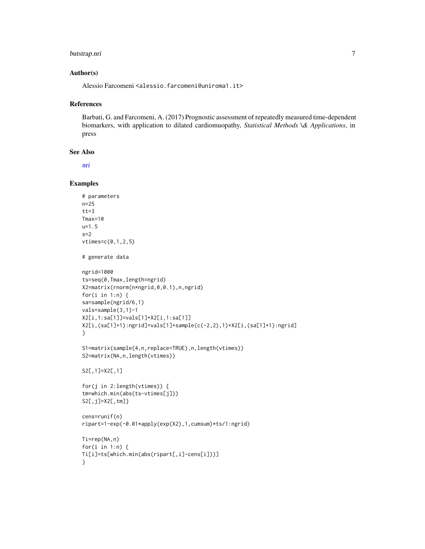# <span id="page-6-0"></span>butstrap.nri 7

#### Author(s)

Alessio Farcomeni <alessio.farcomeni@uniroma1.it>

#### References

Barbati, G. and Farcomeni, A. (2017) Prognostic assessment of repeatedly measured time-dependent biomarkers, with application to dilated cardiomuopathy, *Statistical Methods \& Applications*, in press

# See Also

[nri](#page-13-1)

```
# parameters
n=25
tt=3Tmax=10
u=1.5
s=2vtimes=c(0,1,2,5)
# generate data
ngrid=1000
ts=seq(0,Tmax,length=ngrid)
X2=matrix(rnorm(n*ngrid,0,0.1),n,ngrid)
for(i in 1:n) \{sa=sample(ngrid/6,1)
vals=sample(3,1)-1
X2[i,1:sa[1]]=vals[1]+X2[i,1:sa[1]]
X2[i,(sa[1]+1):ngrid]=vals[1]+sample(c(-2,2),1)+X2[i,(sa[1]+1):ngrid]
}
S1=matrix(sample(4,n,replace=TRUE),n,length(vtimes))
S2=matrix(NA,n,length(vtimes))
S2[,1]=X2[,1]
for(j in 2:length(vtimes)) {
tm=which.min(abs(ts-vtimes[j]))
S2[,j]=X2[,tm]}
cens=runif(n)
ripart=1-exp(-0.01*apply(exp(X2),1,cumsum)*ts/1:ngrid)
Ti=rep(NA,n)
for(i in 1:n) {
Ti[i]=ts[which.min(abs(ripart[,i]-cens[i]))]
}
```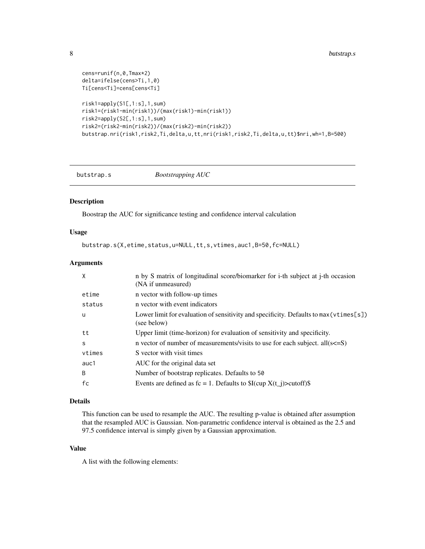```
cens=runif(n,0,Tmax*2)
delta=ifelse(cens>Ti,1,0)
Ti[cens<Ti]=cens[cens<Ti]
risk1=apply(S1[,1:s],1,sum)
risk1=(risk1-min(risk1))/(max(risk1)-min(risk1))
risk2=apply(S2[,1:s],1,sum)
risk2=(risk2-min(risk2))/(max(risk2)-min(risk2))
butstrap.nri(risk1,risk2,Ti,delta,u,tt,nri(risk1,risk2,Ti,delta,u,tt)$nri,wh=1,B=500)
```
<span id="page-7-1"></span>butstrap.s *Bootstrapping AUC*

#### Description

Boostrap the AUC for significance testing and confidence interval calculation

#### Usage

butstrap.s(X,etime,status,u=NULL,tt,s,vtimes,auc1,B=50,fc=NULL)

# Arguments

| X        | n by S matrix of longitudinal score/biomarker for i-th subject at j-th occasion<br>(NA if unmeasured)  |
|----------|--------------------------------------------------------------------------------------------------------|
| etime    | n vector with follow-up times                                                                          |
| status   | n vector with event indicators                                                                         |
| <b>u</b> | Lower limit for evaluation of sensitivity and specificity. Defaults to $max(vtimes[s])$<br>(see below) |
| tt       | Upper limit (time-horizon) for evaluation of sensitivity and specificity.                              |
| S        | n vector of number of measurements/visits to use for each subject. all $(s\leq S)$                     |
| vtimes   | S vector with visit times                                                                              |
| auc1     | AUC for the original data set                                                                          |
| B        | Number of bootstrap replicates. Defaults to 50                                                         |
| fc       | Events are defined as $fc = 1$ . Defaults to $I(cup X(t_i)) > cut off$                                 |

#### Details

This function can be used to resample the AUC. The resulting p-value is obtained after assumption that the resampled AUC is Gaussian. Non-parametric confidence interval is obtained as the 2.5 and 97.5 confidence interval is simply given by a Gaussian approximation.

#### Value

A list with the following elements:

<span id="page-7-0"></span>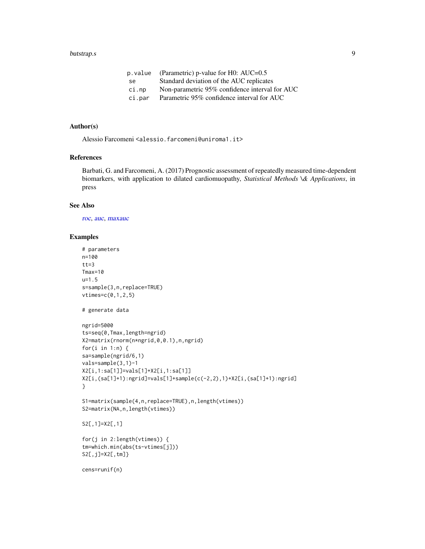#### <span id="page-8-0"></span>butstrap.s 9

| $p.$ value (Parametric) $p$ -value for H0: AUC=0.5 |
|----------------------------------------------------|
| Standard deviation of the AUC replicates           |
| Non-parametric 95% confidence interval for AUC     |
| Parametric 95% confidence interval for AUC         |
|                                                    |

#### Author(s)

Alessio Farcomeni <alessio.farcomeni@uniroma1.it>

#### References

Barbati, G. and Farcomeni, A. (2017) Prognostic assessment of repeatedly measured time-dependent biomarkers, with application to dilated cardiomuopathy, *Statistical Methods \& Applications*, in press

#### See Also

[roc](#page-21-1), [auc](#page-1-1), [maxauc](#page-9-1)

```
# parameters
n=100
tt=3Tmax=10
u=1.5
s=sample(3,n,replace=TRUE)
vtimes=c(0,1,2,5)
# generate data
ngrid=5000
ts=seq(0,Tmax,length=ngrid)
X2=matrix(rnorm(n*ngrid,0,0.1),n,ngrid)
for(i in 1:n) {
sa=sample(ngrid/6,1)
vals=sample(3,1)-1
X2[i,1:sa[1]]=vals[1]+X2[i,1:sa[1]]
X2[i,(sa[1]+1):ngrid]=vals[1]+sample(c(-2,2),1)+X2[i,(sa[1]+1):ngrid]
}
S1=matrix(sample(4,n,replace=TRUE),n,length(vtimes))
S2=matrix(NA,n,length(vtimes))
S2[,1]=X2[,1]
for(j in 2:length(vtimes)) {
tm=which.min(abs(ts-vtimes[j]))
S2[,j]=X2[,tm]}
cens=runif(n)
```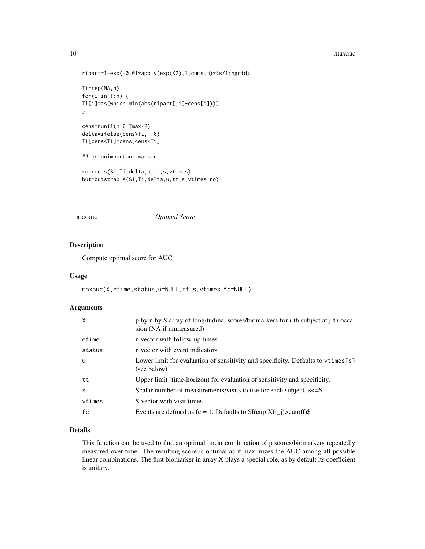#### <span id="page-9-0"></span>10 maxauch no ben'ny tanàna mandritry ny taona 2008–2014. Ilay kaominina dia kaominina mandritry ny taona 2014–2014. Ilay kaominina dia kaominina mpikambana amin'ny fivondronan-kaominin'i Property ao amin'ny fivondronan-ka

```
ripart=1-exp(-0.01*apply(exp(X2),1,cumsum)*ts/1:ngrid)
Ti=rep(NA,n)
for(i in 1:n) {
Ti[i]=ts[which.min(abs(ripart[,i]-cens[i]))]
}
cens=runif(n,0,Tmax*2)
delta=ifelse(cens>Ti,1,0)
Ti[cens<Ti]=cens[cens<Ti]
## an unimportant marker
ro=roc.s(S1,Ti,delta,u,tt,s,vtimes)
but=butstrap.s(S1,Ti,delta,u,tt,s,vtimes,ro)
```
<span id="page-9-1"></span>

#### maxauc *Optimal Score*

### Description

Compute optimal score for AUC

#### Usage

```
maxauc(X,etime,status,u=NULL,tt,s,vtimes,fc=NULL)
```
#### Arguments

| X      | p by n by S array of longitudinal scores/biomarkers for i-th subject at j-th occa-<br>sion (NA if unmeasured) |
|--------|---------------------------------------------------------------------------------------------------------------|
| etime  | n vector with follow-up times                                                                                 |
| status | n vector with event indicators                                                                                |
| u      | Lower limit for evaluation of sensitivity and specificity. Defaults to vtimes[s]<br>(see below)               |
| tt     | Upper limit (time-horizon) for evaluation of sensitivity and specificity.                                     |
| S      | Scalar number of measurements/visits to use for each subject. $s \leq S$                                      |
| vtimes | S vector with visit times                                                                                     |
| fc     | Events are defined as $fc = 1$ . Defaults to $I(cup X(t_i)) > cut off$                                        |

#### Details

This function can be used to find an optimal linear combination of p scores/biomarkers repeatedly measured over time. The resulting score is optimal as it maximizes the AUC among all possible linear combinations. The first biomarker in array X plays a special role, as by default its coefficient is unitary.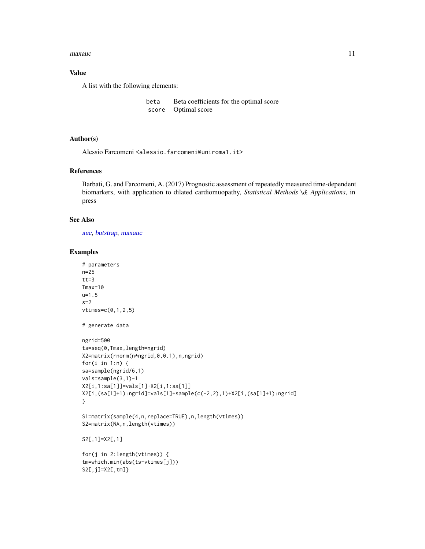#### <span id="page-10-0"></span>maxauch and the contract of the contract of the contract of the contract of the contract of the contract of the contract of the contract of the contract of the contract of the contract of the contract of the contract of th

### Value

A list with the following elements:

```
beta Beta coefficients for the optimal score
score Optimal score
```
#### Author(s)

Alessio Farcomeni <alessio.farcomeni@uniroma1.it>

# References

Barbati, G. and Farcomeni, A. (2017) Prognostic assessment of repeatedly measured time-dependent biomarkers, with application to dilated cardiomuopathy, *Statistical Methods \& Applications*, in press

#### See Also

[auc](#page-1-1), [butstrap](#page-3-1), [maxauc](#page-9-1)

```
# parameters
n=25
tt=3Tmax=10
u=1.5
s=2vtimes=c(0,1,2,5)
# generate data
ngrid=500
ts=seq(0,Tmax,length=ngrid)
X2=matrix(rnorm(n*ngrid,0,0.1),n,ngrid)
for(i in 1:n) {
sa=sample(ngrid/6,1)
vals=sample(3,1)-1
X2[i,1:sa[1]]=vals[1]+X2[i,1:sa[1]]
X2[i,(sa[1]+1):ngrid]=vals[1]+sample(c(-2,2),1)+X2[i,(sa[1]+1):ngrid]
}
S1=matrix(sample(4,n,replace=TRUE),n,length(vtimes))
S2=matrix(NA,n,length(vtimes))
S2[,1]=X2[,1]
for(j in 2:length(vtimes)) {
tm=which.min(abs(ts-vtimes[j]))
S2[,j]=X2[,tm]}
```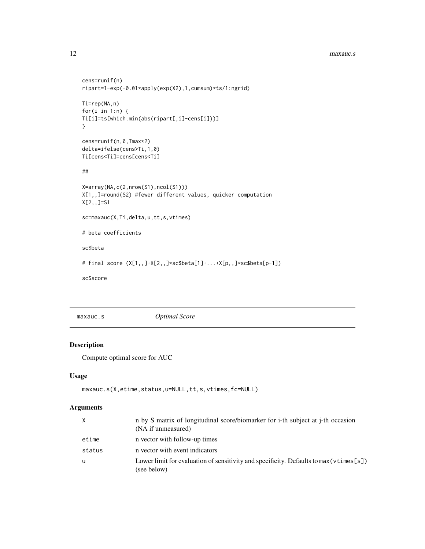```
cens=runif(n)
ripart=1-exp(-0.01*apply(exp(X2),1,cumsum)*ts/1:ngrid)
Ti=rep(NA,n)
for(i in 1:n) {
Ti[i]=ts[which.min(abs(ripart[,i]-cens[i]))]
}
cens=runif(n,0,Tmax*2)
delta=ifelse(cens>Ti,1,0)
Ti[cens<Ti]=cens[cens<Ti]
##
X=array(NA,c(2,nrow(S1),ncol(S1)))
X[1,,]=round(S2) #fewer different values, quicker computation
X[2,,]=S1
sc=maxauc(X,Ti,delta,u,tt,s,vtimes)
# beta coefficients
sc$beta
# final score (X[1,,]+X[2,,]*sc$beta[1]+...+X[p,,]*sc$beta[p-1])
sc$score
```
maxauc.s *Optimal Score*

# Description

Compute optimal score for AUC

#### Usage

```
maxauc.s(X,etime,status,u=NULL,tt,s,vtimes,fc=NULL)
```
# Arguments

| X        | n by S matrix of longitudinal score/biomarker for i-th subject at j-th occasion<br>(NA if unmeasured) |
|----------|-------------------------------------------------------------------------------------------------------|
| etime    | n vector with follow-up times                                                                         |
| status   | n vector with event indicators                                                                        |
| <b>u</b> | Lower limit for evaluation of sensitivity and specificity. Defaults to $max(vtimess]$<br>(see below)  |

<span id="page-11-0"></span>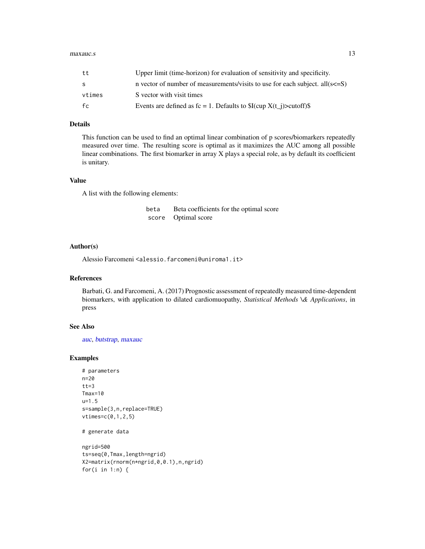#### <span id="page-12-0"></span> $maxauc.s$  13

| tt     | Upper limit (time-horizon) for evaluation of sensitivity and specificity.           |
|--------|-------------------------------------------------------------------------------------|
| s      | n vector of number of measurements/visits to use for each subject. all $(s \leq S)$ |
| vtimes | S vector with visit times                                                           |
| fc     | Events are defined as $fc = 1$ . Defaults to $I(cup X(t_i) > cut off)$ .            |

#### Details

This function can be used to find an optimal linear combination of p scores/biomarkers repeatedly measured over time. The resulting score is optimal as it maximizes the AUC among all possible linear combinations. The first biomarker in array X plays a special role, as by default its coefficient is unitary.

#### Value

A list with the following elements:

beta Beta coefficients for the optimal score score Optimal score

#### Author(s)

Alessio Farcomeni <alessio.farcomeni@uniroma1.it>

# References

Barbati, G. and Farcomeni, A. (2017) Prognostic assessment of repeatedly measured time-dependent biomarkers, with application to dilated cardiomuopathy, *Statistical Methods \& Applications*, in press

### See Also

[auc](#page-1-1), [butstrap](#page-3-1), [maxauc](#page-9-1)

#### Examples

```
# parameters
n=20
tt=3Tmax=10
u=1.5
s=sample(3,n,replace=TRUE)
vtimes=c(0,1,2,5)
```
# generate data

```
ngrid=500
ts=seq(0,Tmax,length=ngrid)
X2=matrix(rnorm(n*ngrid,0,0.1),n,ngrid)
for(i in 1:n) {
```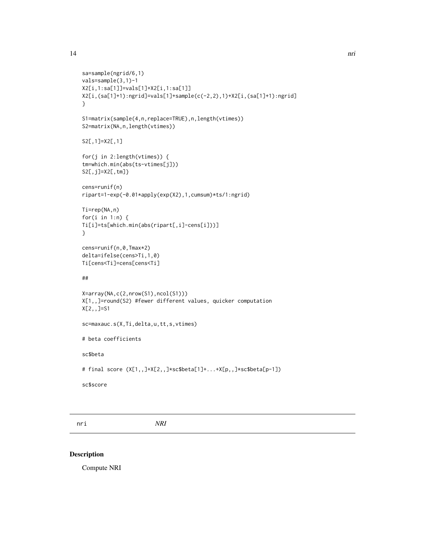```
sa=sample(ngrid/6,1)
vals=sample(3,1)-1
X2[i,1:sa[1]]=vals[1]+X2[i,1:sa[1]]
X2[i,(sa[1]+1):ngrid]=vals[1]+sample(c(-2,2),1)+X2[i,(sa[1]+1):ngrid]
}
S1=matrix(sample(4,n,replace=TRUE),n,length(vtimes))
S2=matrix(NA,n,length(vtimes))
S2[,1]=X2[,1]
for(j in 2:length(vtimes)) {
tm=which.min(abs(ts-vtimes[j]))
S2[,j]=X2[,tm]}
cens=runif(n)
ripart=1-exp(-0.01*apply(exp(X2),1,cumsum)*ts/1:ngrid)
Ti=rep(NA,n)
for(i in 1:n) {
Ti[i]=ts[which.min(abs(ripart[,i]-cens[i]))]
}
cens=runif(n,0,Tmax*2)
delta=ifelse(cens>Ti,1,0)
Ti[cens<Ti]=cens[cens<Ti]
##
X=array(NA,c(2,nrow(S1),ncol(S1)))
X[1,,]=round(S2) #fewer different values, quicker computation
X[2,,]=S1
sc=maxauc.s(X,Ti,delta,u,tt,s,vtimes)
# beta coefficients
sc$beta
# final score (X[1,,]+X[2,,]*sc$beta[1]+...+X[p,,]*sc$beta[p-1])
sc$score
```
<span id="page-13-1"></span>nri *NRI*

#### Description

Compute NRI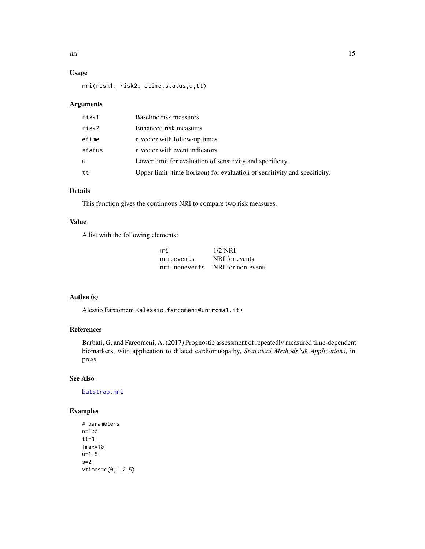# <span id="page-14-0"></span>Usage

nri(risk1, risk2, etime,status,u,tt)

# Arguments

| risk1  | Baseline risk measures                                                    |
|--------|---------------------------------------------------------------------------|
| risk2  | Enhanced risk measures                                                    |
| etime  | n vector with follow-up times                                             |
| status | n vector with event indicators                                            |
| u      | Lower limit for evaluation of sensitivity and specificity.                |
| tt     | Upper limit (time-horizon) for evaluation of sensitivity and specificity. |

# Details

This function gives the continuous NRI to compare two risk measures.

#### Value

A list with the following elements:

| nri        | $1/2$ NRI                        |
|------------|----------------------------------|
| nri events | NRI for events                   |
|            | nri.nonevents NRI for non-events |

#### Author(s)

Alessio Farcomeni <alessio.farcomeni@uniroma1.it>

# References

Barbati, G. and Farcomeni, A. (2017) Prognostic assessment of repeatedly measured time-dependent biomarkers, with application to dilated cardiomuopathy, *Statistical Methods \& Applications*, in press

# See Also

[butstrap.nri](#page-5-1)

```
# parameters
n=100
tt=3Tmax=10
u=1.5
s=2vtimes=c(0,1,2,5)
```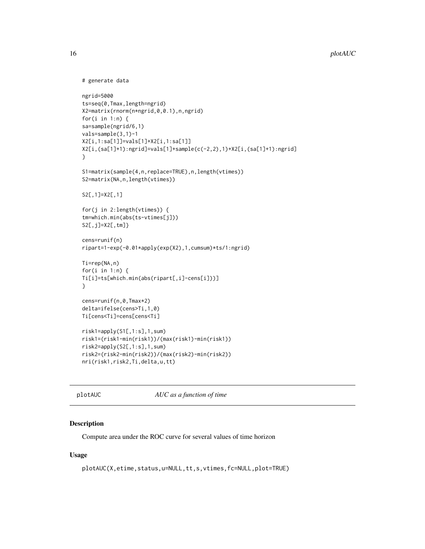```
# generate data
ngrid=5000
ts=seq(0,Tmax,length=ngrid)
X2=matrix(rnorm(n*ngrid,0,0.1),n,ngrid)
for(i in 1:n) {
sa=sample(ngrid/6,1)
vals=sample(3,1)-1
X2[i,1:sa[1]]=vals[1]+X2[i,1:sa[1]]
X2[i,(sa[1]+1):ngrid]=vals[1]+sample(c(-2,2),1)+X2[i,(sa[1]+1):ngrid]
}
S1=matrix(sample(4,n,replace=TRUE),n,length(vtimes))
S2=matrix(NA,n,length(vtimes))
S2[,1]=X2[,1]
for(j in 2:length(vtimes)) {
tm=which.min(abs(ts-vtimes[j]))
S2[,j]=X2[,tm]}
cens=runif(n)
ripart=1-exp(-0.01*apply(exp(X2),1,cumsum)*ts/1:ngrid)
Ti=rep(NA,n)
for(i in 1:n) {
Ti[i]=ts[which.min(abs(ripart[,i]-cens[i]))]
}
cens=runif(n,0,Tmax*2)
delta=ifelse(cens>Ti,1,0)
Ti[cens<Ti]=cens[cens<Ti]
risk1=apply(S1[,1:s],1,sum)
risk1=(risk1-min(risk1))/(max(risk1)-min(risk1))
risk2=apply(S2[,1:s],1,sum)
risk2=(risk2-min(risk2))/(max(risk2)-min(risk2))
nri(risk1,risk2,Ti,delta,u,tt)
```

```
plotAUC AUC as a function of time
```
#### Description

Compute area under the ROC curve for several values of time horizon

#### Usage

```
plotAUC(X,etime,status,u=NULL,tt,s,vtimes,fc=NULL,plot=TRUE)
```
<span id="page-15-0"></span>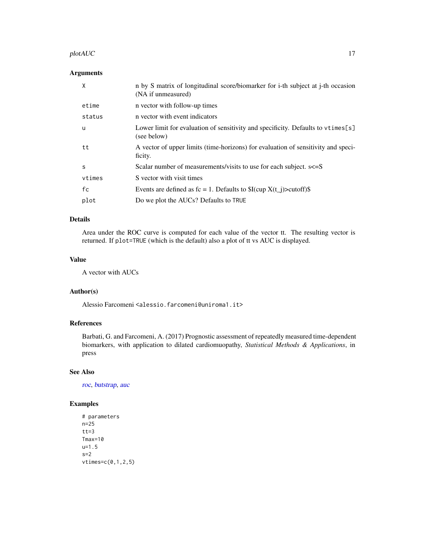#### <span id="page-16-0"></span> $p$ lot $AUC$  and  $17$

# Arguments

| X      | n by S matrix of longitudinal score/biomarker for i-th subject at j-th occasion<br>(NA if unmeasured) |
|--------|-------------------------------------------------------------------------------------------------------|
| etime  | n vector with follow-up times                                                                         |
| status | n vector with event indicators                                                                        |
| u      | Lower limit for evaluation of sensitivity and specificity. Defaults to vtimes[s]<br>(see below)       |
| tt     | A vector of upper limits (time-horizons) for evaluation of sensitivity and speci-<br>ficity.          |
| S      | Scalar number of measurements/visits to use for each subject. $s \leq S$                              |
| vtimes | S vector with visit times                                                                             |
| fc     | Events are defined as $fc = 1$ . Defaults to $I(cup X(t_i) > cutoff)$                                 |
| plot   | Do we plot the AUCs? Defaults to TRUE                                                                 |

### Details

Area under the ROC curve is computed for each value of the vector tt. The resulting vector is returned. If plot=TRUE (which is the default) also a plot of tt vs AUC is displayed.

# Value

A vector with AUCs

# Author(s)

Alessio Farcomeni <alessio.farcomeni@uniroma1.it>

# References

Barbati, G. and Farcomeni, A. (2017) Prognostic assessment of repeatedly measured time-dependent biomarkers, with application to dilated cardiomuopathy, *Statistical Methods & Applications*, in press

#### See Also

[roc](#page-21-1), [butstrap](#page-3-1), [auc](#page-1-1)

```
# parameters
n=25
tt=3
Tmax=10
u=1.5
s=2vtimes=c(0,1,2,5)
```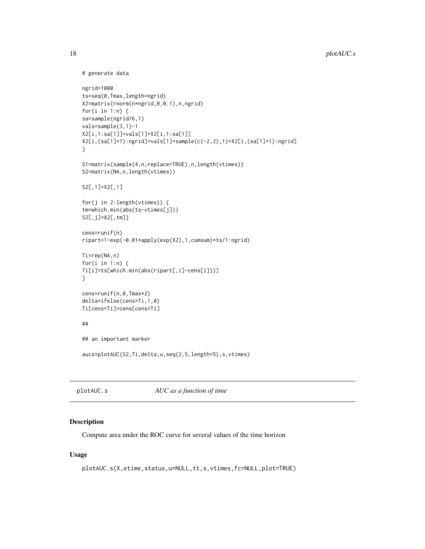```
# generate data
ngrid=1000
ts=seq(0,Tmax,length=ngrid)
X2=matrix(rnorm(n*ngrid,0,0.1),n,ngrid)
for(i in 1:n) {
sa=sample(ngrid/6,1)
vals=sample(3,1)-1
X2[i,1:sa[1]]=vals[1]+X2[i,1:sa[1]]
X2[i,(sa[1]+1):ngrid]=vals[1]+sample(c(-2,2),1)+X2[i,(sa[1]+1):ngrid]
}
S1=matrix(sample(4,n,replace=TRUE),n,length(vtimes))
S2=matrix(NA,n,length(vtimes))
S2[,1]=X2[,1]
for(j in 2:length(vtimes)) {
tm=which.min(abs(ts-vtimes[j]))
S2[,j]=X2[,tm]}
cens=runif(n)
ripart=1-exp(-0.01*apply(exp(X2),1,cumsum)*ts/1:ngrid)
Ti=rep(NA,n)
for(i in 1:n) {
Ti[i]=ts[which.min(abs(ripart[,i]-cens[i]))]
}
cens=runif(n,0,Tmax*2)
delta=ifelse(cens>Ti,1,0)
Ti[cens<Ti]=cens[cens<Ti]
##
## an important marker
aucs=plotAUC(S2,Ti,delta,u,seq(2,5,length=5),s,vtimes)
```
plotAUC.s *AUC as a function of time*

#### Description

Compute area under the ROC curve for several values of the time horizon

#### Usage

```
plotAUC.s(X,etime,status,u=NULL,tt,s,vtimes,fc=NULL,plot=TRUE)
```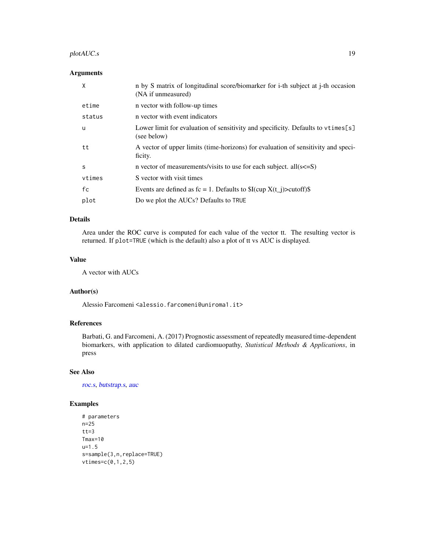# <span id="page-18-0"></span>plotAUC.s 19

### Arguments

| X      | n by S matrix of longitudinal score/biomarker for i-th subject at j-th occasion<br>(NA if unmeasured) |
|--------|-------------------------------------------------------------------------------------------------------|
| etime  | n vector with follow-up times                                                                         |
| status | n vector with event indicators                                                                        |
| u      | Lower limit for evaluation of sensitivity and specificity. Defaults to vtimes[s]<br>(see below)       |
| tt     | A vector of upper limits (time-horizons) for evaluation of sensitivity and speci-<br>ficity.          |
| S      | n vector of measurements/visits to use for each subject. all $(s\leq S)$                              |
| vtimes | S vector with visit times                                                                             |
| fc     | Events are defined as $fc = 1$ . Defaults to $I(cup X(t_i) > cutoff)$                                 |
| plot   | Do we plot the AUCs? Defaults to TRUE                                                                 |

### Details

Area under the ROC curve is computed for each value of the vector tt. The resulting vector is returned. If plot=TRUE (which is the default) also a plot of tt vs AUC is displayed.

# Value

A vector with AUCs

# Author(s)

Alessio Farcomeni <alessio.farcomeni@uniroma1.it>

# References

Barbati, G. and Farcomeni, A. (2017) Prognostic assessment of repeatedly measured time-dependent biomarkers, with application to dilated cardiomuopathy, *Statistical Methods & Applications*, in press

#### See Also

[roc.s](#page-24-1), [butstrap.s](#page-7-1), [auc](#page-1-1)

```
# parameters
n=25
tt=3Tmax=10
u=1.5
s=sample(3,n,replace=TRUE)
vtimes=c(0,1,2,5)
```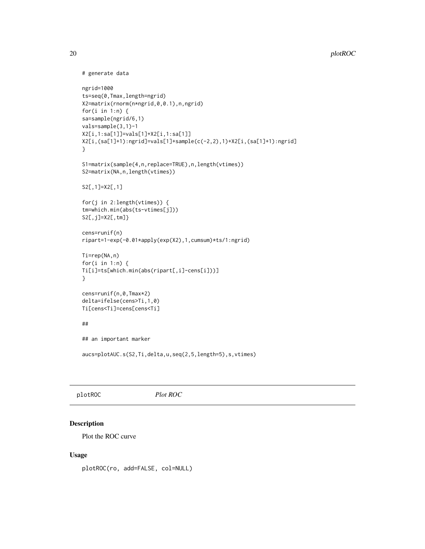```
# generate data
ngrid=1000
ts=seq(0,Tmax,length=ngrid)
X2=matrix(rnorm(n*ngrid,0,0.1),n,ngrid)
for(i in 1:n) {
sa=sample(ngrid/6,1)
vals=sample(3,1)-1
X2[i,1:sa[1]]=vals[1]+X2[i,1:sa[1]]
X2[i,(sa[1]+1):ngrid]=vals[1]+sample(c(-2,2),1)+X2[i,(sa[1]+1):ngrid]
}
S1=matrix(sample(4,n,replace=TRUE),n,length(vtimes))
S2=matrix(NA,n,length(vtimes))
S2[,1]=X2[,1]
for(j in 2:length(vtimes)) {
tm=which.min(abs(ts-vtimes[j]))
S2[,j]=X2[,tm]}
cens=runif(n)
ripart=1-exp(-0.01*apply(exp(X2),1,cumsum)*ts/1:ngrid)
Ti=rep(NA,n)
for(i in 1:n) {
Ti[i]=ts[which.min(abs(ripart[,i]-cens[i]))]
}
cens=runif(n,0,Tmax*2)
delta=ifelse(cens>Ti,1,0)
Ti[cens<Ti]=cens[cens<Ti]
##
## an important marker
aucs=plotAUC.s(S2,Ti,delta,u,seq(2,5,length=5),s,vtimes)
```
plotROC *Plot ROC*

# Description

Plot the ROC curve

#### Usage

plotROC(ro, add=FALSE, col=NULL)

<span id="page-19-0"></span>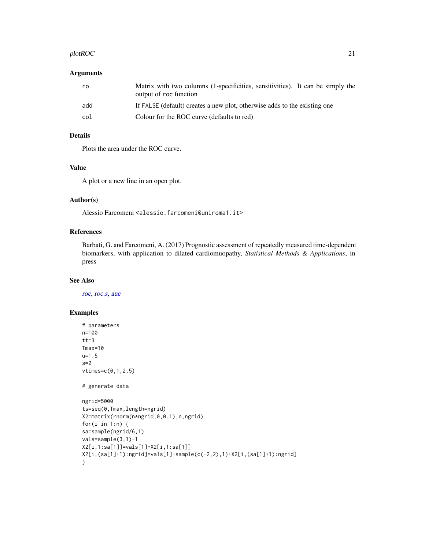#### <span id="page-20-0"></span> $p$ lotROC 21

#### Arguments

| ro  | Matrix with two columns (1-specificities, sensitivities). It can be simply the<br>output of roc function |
|-----|----------------------------------------------------------------------------------------------------------|
| add | If FALSE (default) creates a new plot, otherwise adds to the existing one                                |
| col | Colour for the ROC curve (defaults to red)                                                               |

### Details

Plots the area under the ROC curve.

# Value

A plot or a new line in an open plot.

# Author(s)

Alessio Farcomeni <alessio.farcomeni@uniroma1.it>

# References

Barbati, G. and Farcomeni, A. (2017) Prognostic assessment of repeatedly measured time-dependent biomarkers, with application to dilated cardiomuopathy, *Statistical Methods & Applications*, in press

#### See Also

[roc](#page-21-1), [roc.s](#page-24-1), [auc](#page-1-1)

```
# parameters
n=100
tt=3Tmax=10
u=1.5
s=2vtimes=c(0,1,2,5)
# generate data
ngrid=5000
ts=seq(0,Tmax,length=ngrid)
X2=matrix(rnorm(n*ngrid,0,0.1),n,ngrid)
for(i in 1:n) {
sa=sample(ngrid/6,1)
vals=sample(3,1)-1
X2[i,1:sa[1]]=vals[1]+X2[i,1:sa[1]]
X2[i,(sa[1]+1):ngrid]=vals[1]+sample(c(-2,2),1)+X2[i,(sa[1]+1):ngrid]
}
```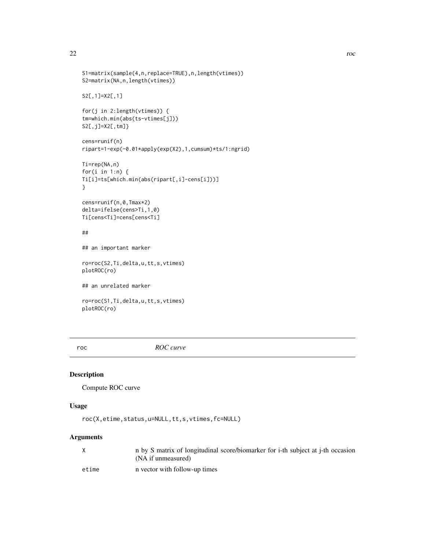```
S1=matrix(sample(4,n,replace=TRUE),n,length(vtimes))
S2=matrix(NA,n,length(vtimes))
S2[,1]=X2[,1]
for(j in 2:length(vtimes)) {
tm=which.min(abs(ts-vtimes[j]))
S2[,j]=X2[,tm]}
cens=runif(n)
ripart=1-exp(-0.01*apply(exp(X2),1,cumsum)*ts/1:ngrid)
Ti=rep(NA,n)
for(i in 1:n) {
Ti[i]=ts[which.min(abs(ripart[,i]-cens[i]))]
}
cens=runif(n,0,Tmax*2)
delta=ifelse(cens>Ti,1,0)
Ti[cens<Ti]=cens[cens<Ti]
##
## an important marker
ro=roc(S2,Ti,delta,u,tt,s,vtimes)
plotROC(ro)
## an unrelated marker
ro=roc(S1,Ti,delta,u,tt,s,vtimes)
plotROC(ro)
```
<span id="page-21-1"></span>roc *ROC curve*

#### Description

Compute ROC curve

#### Usage

```
roc(X,etime,status,u=NULL,tt,s,vtimes,fc=NULL)
```
#### Arguments

| X     | n by S matrix of longitudinal score/biomarker for i-th subject at j-th occasion<br>(NA if unmeasured) |
|-------|-------------------------------------------------------------------------------------------------------|
| etime | n vector with follow-up times                                                                         |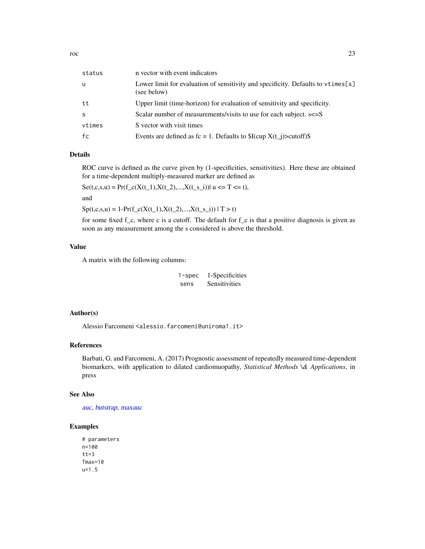<span id="page-22-0"></span>

| status | n vector with event indicators                                                                  |
|--------|-------------------------------------------------------------------------------------------------|
| u      | Lower limit for evaluation of sensitivity and specificity. Defaults to vtimes[s]<br>(see below) |
| tt     | Upper limit (time-horizon) for evaluation of sensitivity and specificity.                       |
| S      | Scalar number of measurements/visits to use for each subject. $s\leq S$                         |
| vtimes | S vector with visit times                                                                       |
| fc     | Events are defined as $fc = 1$ . Defaults to $I(cup X(t_i)) > cut off$ .                        |

### Details

ROC curve is defined as the curve given by (1-specificities, sensitivities). Here these are obtained for a time-dependent multiply-measured marker are defined as

 $S_{\mathcal{E}}(t,c,s,u) = Pr(f_c(X(t_1),X(t_2),...,X(t_s_i))|u \leq T \leq t),$ 

and

 $Sp(t,c,s,u) = 1-Pr(f_c(X(t_1),X(t_2),...,X(t_s_i)) \mid T > t)$ 

for some fixed  $f_c$ , where c is a cutoff. The default for  $f_c$  is that a positive diagnosis is given as soon as any measurement among the s considered is above the threshold.

#### Value

A matrix with the following columns:

1-spec 1-Specificities sens Sensitivities

# Author(s)

Alessio Farcomeni <alessio.farcomeni@uniroma1.it>

#### References

Barbati, G. and Farcomeni, A. (2017) Prognostic assessment of repeatedly measured time-dependent biomarkers, with application to dilated cardiomuopathy, *Statistical Methods \& Applications*, in press

#### See Also

[auc](#page-1-1), [butstrap](#page-3-1), [maxauc](#page-9-1)

```
# parameters
n=100
tt=3Tmax=10
u=1.5
```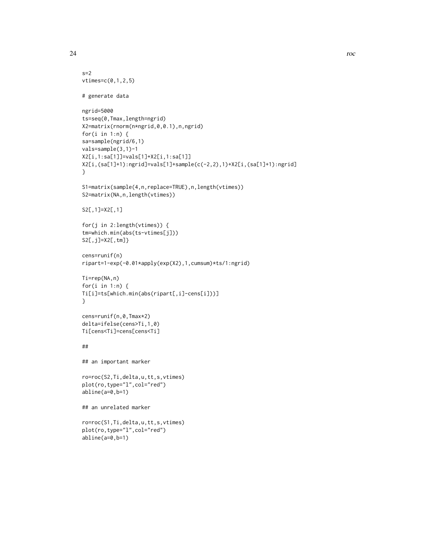```
s=2vtimes=c(0,1,2,5)
# generate data
ngrid=5000
ts=seq(0,Tmax,length=ngrid)
X2=matrix(rnorm(n*ngrid,0,0.1),n,ngrid)
for(i in 1:n) {
sa=sample(ngrid/6,1)
vals=sample(3,1)-1
X2[i,1:sa[1]]=vals[1]+X2[i,1:sa[1]]
X2[i,(sa[1]+1):ngrid]=vals[1]+sample(c(-2,2),1)+X2[i,(sa[1]+1):ngrid]
}
S1=matrix(sample(4,n,replace=TRUE),n,length(vtimes))
S2=matrix(NA,n,length(vtimes))
S2[,1]=X2[,1]
for(j in 2:length(vtimes)) {
tm=which.min(abs(ts-vtimes[j]))
S2[,j]=X2[,tm]}
cens=runif(n)
ripart=1-exp(-0.01*apply(exp(X2),1,cumsum)*ts/1:ngrid)
Ti=rep(NA,n)
for(i in 1:n) {
Ti[i]=ts[which.min(abs(ripart[,i]-cens[i]))]
}
cens=runif(n,0,Tmax*2)
delta=ifelse(cens>Ti,1,0)
Ti[cens<Ti]=cens[cens<Ti]
##
## an important marker
ro=roc(S2,Ti,delta,u,tt,s,vtimes)
plot(ro,type="l",col="red")
abline(a=0,b=1)
## an unrelated marker
ro=roc(S1,Ti,delta,u,tt,s,vtimes)
plot(ro,type="l",col="red")
abline(a=0,b=1)
```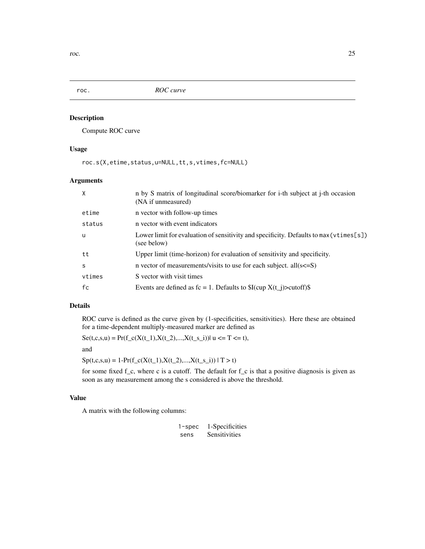<span id="page-24-0"></span>

# <span id="page-24-1"></span>Description

Compute ROC curve

# Usage

roc.s(X,etime,status,u=NULL,tt,s,vtimes,fc=NULL)

# Arguments

| X      | n by S matrix of longitudinal score/biomarker for i-th subject at j-th occasion<br>(NA if unmeasured)  |
|--------|--------------------------------------------------------------------------------------------------------|
| etime  | n vector with follow-up times                                                                          |
| status | n vector with event indicators                                                                         |
| u      | Lower limit for evaluation of sensitivity and specificity. Defaults to $max(vtimes[s])$<br>(see below) |
| tt     | Upper limit (time-horizon) for evaluation of sensitivity and specificity.                              |
| S      | n vector of measurements/visits to use for each subject. all $(s\leq S)$                               |
| vtimes | S vector with visit times                                                                              |
| fc     | Events are defined as $fc = 1$ . Defaults to $I(cup X(t_i)) > cut off$                                 |

# Details

ROC curve is defined as the curve given by (1-specificities, sensitivities). Here these are obtained for a time-dependent multiply-measured marker are defined as

 $Se(t,c,s,u) = Pr(f_c(X(t_1),X(t_2),...,X(t_s_i)))| u \leq T \leq t,$ 

and

 $Sp(t,c,s,u) = 1-Pr(f_c(X(t_1),X(t_2),...,X(t_s_i)) \mid T > t)$ 

for some fixed  $f_c$ , where c is a cutoff. The default for  $f_c$  is that a positive diagnosis is given as soon as any measurement among the s considered is above the threshold.

#### Value

A matrix with the following columns:

| $1$ -spec | 1-Specificities |
|-----------|-----------------|
| sens      | Sensitivities   |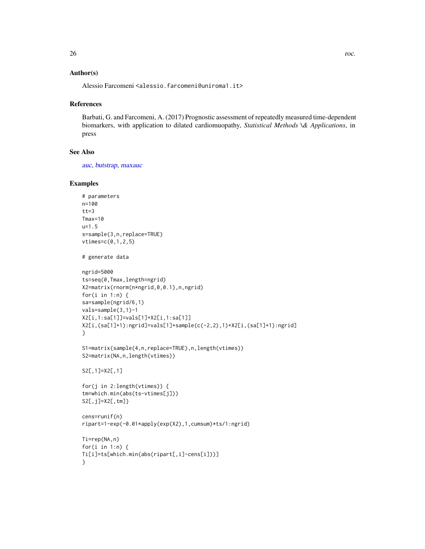### <span id="page-25-0"></span>Author(s)

Alessio Farcomeni <alessio.farcomeni@uniroma1.it>

#### References

Barbati, G. and Farcomeni, A. (2017) Prognostic assessment of repeatedly measured time-dependent biomarkers, with application to dilated cardiomuopathy, *Statistical Methods \& Applications*, in press

# See Also

[auc](#page-1-1), [butstrap](#page-3-1), [maxauc](#page-9-1)

```
# parameters
n=100
tt=3Tmax=10
u=1.5
s=sample(3,n,replace=TRUE)
vtimes=c(0,1,2,5)
# generate data
ngrid=5000
ts=seq(0,Tmax,length=ngrid)
X2=matrix(rnorm(n*ngrid,0,0.1),n,ngrid)
for(i in 1:n) \{sa=sample(ngrid/6,1)
vals=sample(3,1)-1
X2[i,1:sa[1]]=vals[1]+X2[i,1:sa[1]]
X2[i,(sa[1]+1):ngrid]=vals[1]+sample(c(-2,2),1)+X2[i,(sa[1]+1):ngrid]
}
S1=matrix(sample(4,n,replace=TRUE),n,length(vtimes))
S2=matrix(NA,n,length(vtimes))
S2[,1]=X2[,1]
for(j in 2:length(vtimes)) {
tm=which.min(abs(ts-vtimes[j]))
S2[,j]=X2[,tm]}
cens=runif(n)
ripart=1-exp(-0.01*apply(exp(X2),1,cumsum)*ts/1:ngrid)
Ti=rep(NA,n)
for(i in 1:n) {
Ti[i]=ts[which.min(abs(ripart[,i]-cens[i]))]
}
```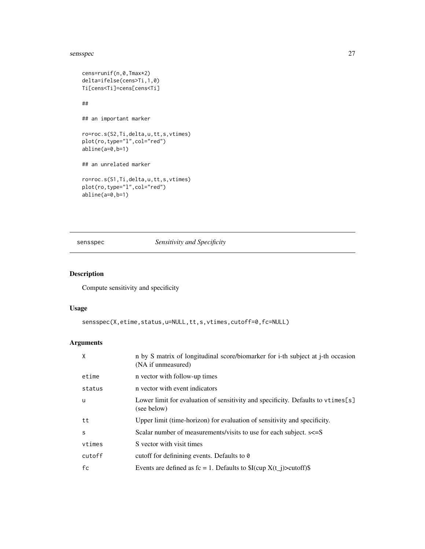#### <span id="page-26-0"></span>sensspec 27

```
cens=runif(n,0,Tmax*2)
delta=ifelse(cens>Ti,1,0)
Ti[cens<Ti]=cens[cens<Ti]
##
## an important marker
ro=roc.s(S2,Ti,delta,u,tt,s,vtimes)
plot(ro,type="l",col="red")
abline(a=0,b=1)
## an unrelated marker
ro=roc.s(S1,Ti,delta,u,tt,s,vtimes)
plot(ro,type="l",col="red")
abline(a=0,b=1)
```
# sensspec *Sensitivity and Specificity*

# Description

Compute sensitivity and specificity

# Usage

```
sensspec(X,etime,status,u=NULL,tt,s,vtimes,cutoff=0,fc=NULL)
```
# Arguments

| $\times$ | n by S matrix of longitudinal score/biomarker for i-th subject at j-th occasion<br>(NA if unmeasured) |
|----------|-------------------------------------------------------------------------------------------------------|
| etime    | n vector with follow-up times                                                                         |
| status   | n vector with event indicators                                                                        |
| <b>u</b> | Lower limit for evaluation of sensitivity and specificity. Defaults to vtimes [s]<br>(see below)      |
| tt       | Upper limit (time-horizon) for evaluation of sensitivity and specificity.                             |
| S        | Scalar number of measurements/visits to use for each subject. $s \leq S$                              |
| vtimes   | S vector with visit times                                                                             |
| cutoff   | cutoff for definining events. Defaults to 0                                                           |
| fc       | Events are defined as $fc = 1$ . Defaults to $I(cup X(t_i)) > cut off$                                |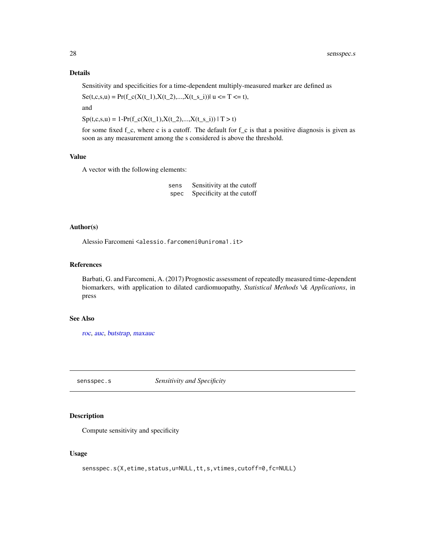### <span id="page-27-0"></span>Details

Sensitivity and specificities for a time-dependent multiply-measured marker are defined as

 $Se(t,c,s,u) = Pr(f_c(X(t_1),X(t_2),...,X(t_s_i))|u \leq T \leq t),$ 

and

 $Sp(t,c,s,u) = 1-Pr(f_c(X(t_1),X(t_2),...,X(t_s_i)) | T > t)$ 

for some fixed  $f_c$ , where c is a cutoff. The default for  $f_c$  is that a positive diagnosis is given as soon as any measurement among the s considered is above the threshold.

#### Value

A vector with the following elements:

sens Sensitivity at the cutoff spec Specificity at the cutoff

#### Author(s)

Alessio Farcomeni <alessio.farcomeni@uniroma1.it>

#### References

Barbati, G. and Farcomeni, A. (2017) Prognostic assessment of repeatedly measured time-dependent biomarkers, with application to dilated cardiomuopathy, *Statistical Methods \& Applications*, in press

#### See Also

[roc](#page-21-1), [auc](#page-1-1), [butstrap](#page-3-1), [maxauc](#page-9-1)

sensspec.s *Sensitivity and Specificity*

# Description

Compute sensitivity and specificity

#### Usage

```
sensspec.s(X,etime,status,u=NULL,tt,s,vtimes,cutoff=0,fc=NULL)
```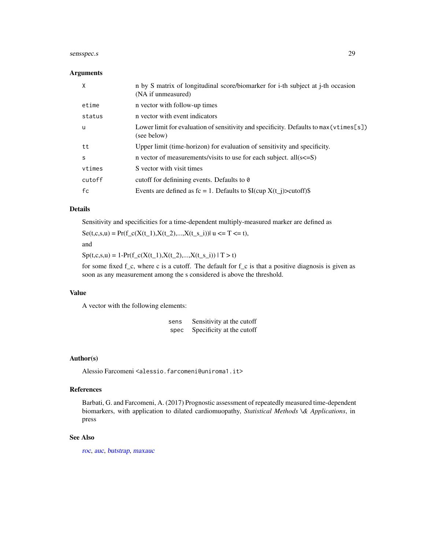# <span id="page-28-0"></span>sensspec.s 29

#### Arguments

| X      | n by S matrix of longitudinal score/biomarker for i-th subject at j-th occasion<br>(NA if unmeasured)  |
|--------|--------------------------------------------------------------------------------------------------------|
| etime  | n vector with follow-up times                                                                          |
| status | n vector with event indicators                                                                         |
| u      | Lower limit for evaluation of sensitivity and specificity. Defaults to $max(vtimes[s])$<br>(see below) |
| tt     | Upper limit (time-horizon) for evaluation of sensitivity and specificity.                              |
| S      | n vector of measurements/visits to use for each subject. all $(s\leq S)$                               |
| vtimes | S vector with visit times                                                                              |
| cutoff | cutoff for definining events. Defaults to 0                                                            |
| fc     | Events are defined as $fc = 1$ . Defaults to $I(cup X(t_i)) > cut off$                                 |

# Details

Sensitivity and specificities for a time-dependent multiply-measured marker are defined as

 $S_{\mathcal{E}}(t,c,s,u) = Pr(f_c(X(t_1),X(t_2),...,X(t_s_i))|u \leq T \leq t),$ 

and

 $Sp(t,c,s,u) = 1-Pr(f_c(X(t_1),X(t_2),...,X(t_s_i)) \mid T > t)$ 

for some fixed f\_c, where c is a cutoff. The default for f\_c is that a positive diagnosis is given as soon as any measurement among the s considered is above the threshold.

#### Value

A vector with the following elements:

| sens | Sensitivity at the cutoff |  |
|------|---------------------------|--|
| spec | Specificity at the cutoff |  |

#### Author(s)

Alessio Farcomeni <alessio.farcomeni@uniroma1.it>

#### References

Barbati, G. and Farcomeni, A. (2017) Prognostic assessment of repeatedly measured time-dependent biomarkers, with application to dilated cardiomuopathy, *Statistical Methods \& Applications*, in press

#### See Also

[roc](#page-21-1), [auc](#page-1-1), [butstrap](#page-3-1), [maxauc](#page-9-1)